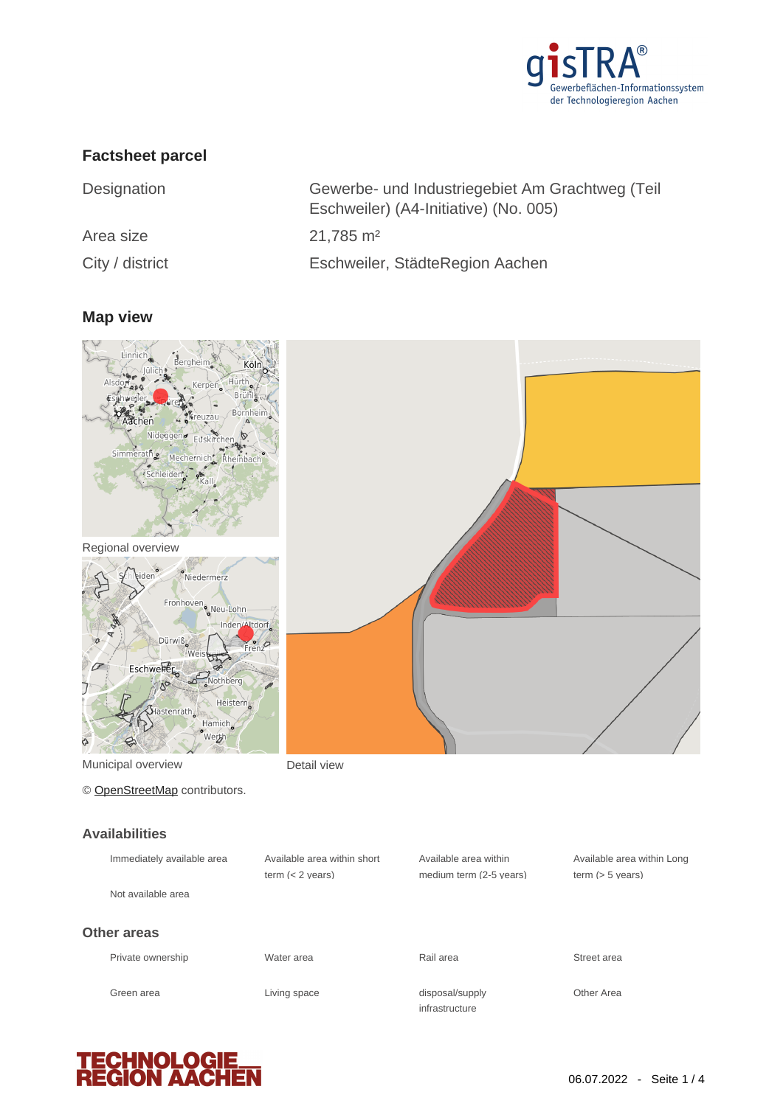

## **Factsheet parcel**

| Designation     | Gewerbe- und Industriegebiet Am Grachtweg (Teil<br>Eschweiler) (A4-Initiative) (No. 005) |
|-----------------|------------------------------------------------------------------------------------------|
| Area size       | $21,785 \text{ m}^2$                                                                     |
| City / district | Eschweiler, StädteRegion Aachen                                                          |

#### **Map view**



Green area **Living space** 

**TECHNOLOG<br>REGION AAC** 

infrastructure

disposal/supply **Other Area**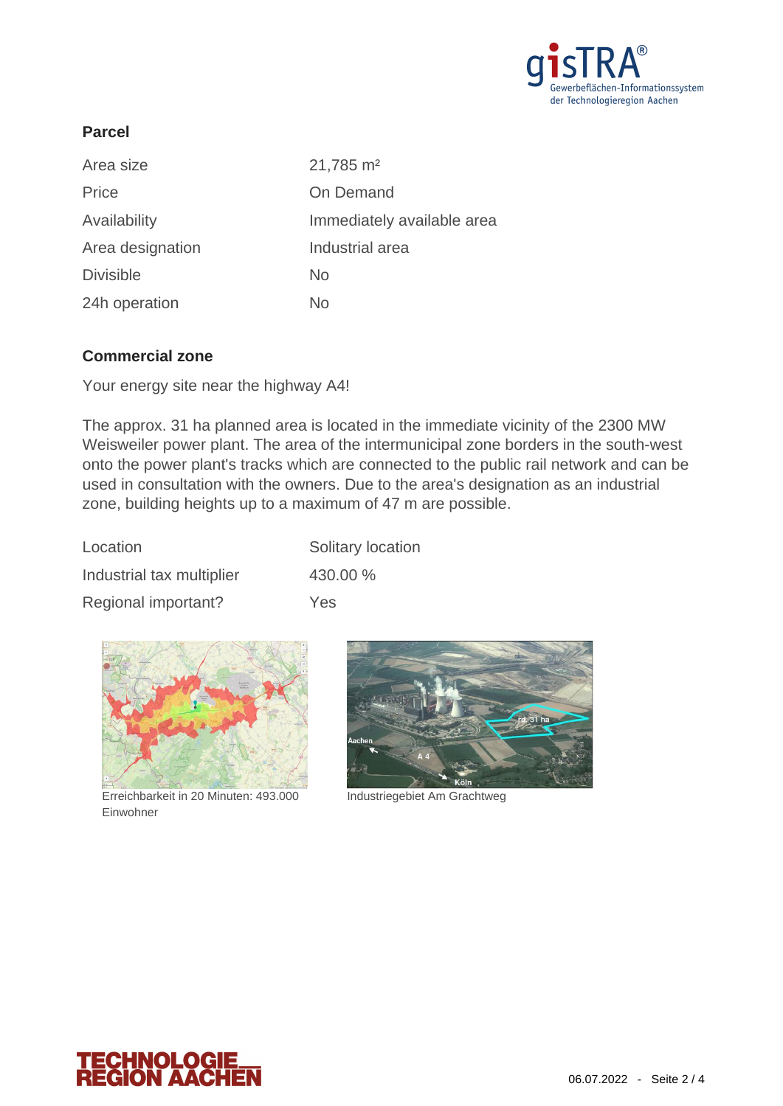

### **Parcel**

| Area size        | $21,785 \text{ m}^2$       |
|------------------|----------------------------|
| Price            | On Demand                  |
| Availability     | Immediately available area |
| Area designation | Industrial area            |
| <b>Divisible</b> | <b>No</b>                  |
| 24h operation    | No                         |

#### **Commercial zone**

Your energy site near the highway A4!

The approx. 31 ha planned area is located in the immediate vicinity of the 2300 MW Weisweiler power plant. The area of the intermunicipal zone borders in the south-west onto the power plant's tracks which are connected to the public rail network and can be used in consultation with the owners. Due to the area's designation as an industrial zone, building heights up to a maximum of 47 m are possible.

| Location                  | Solitary location |
|---------------------------|-------------------|
| Industrial tax multiplier | 430.00 %          |
| Regional important?       | Yes               |



Erreichbarkeit in 20 Minuten: 493.000 Industriegebiet Am Grachtweg Einwohner



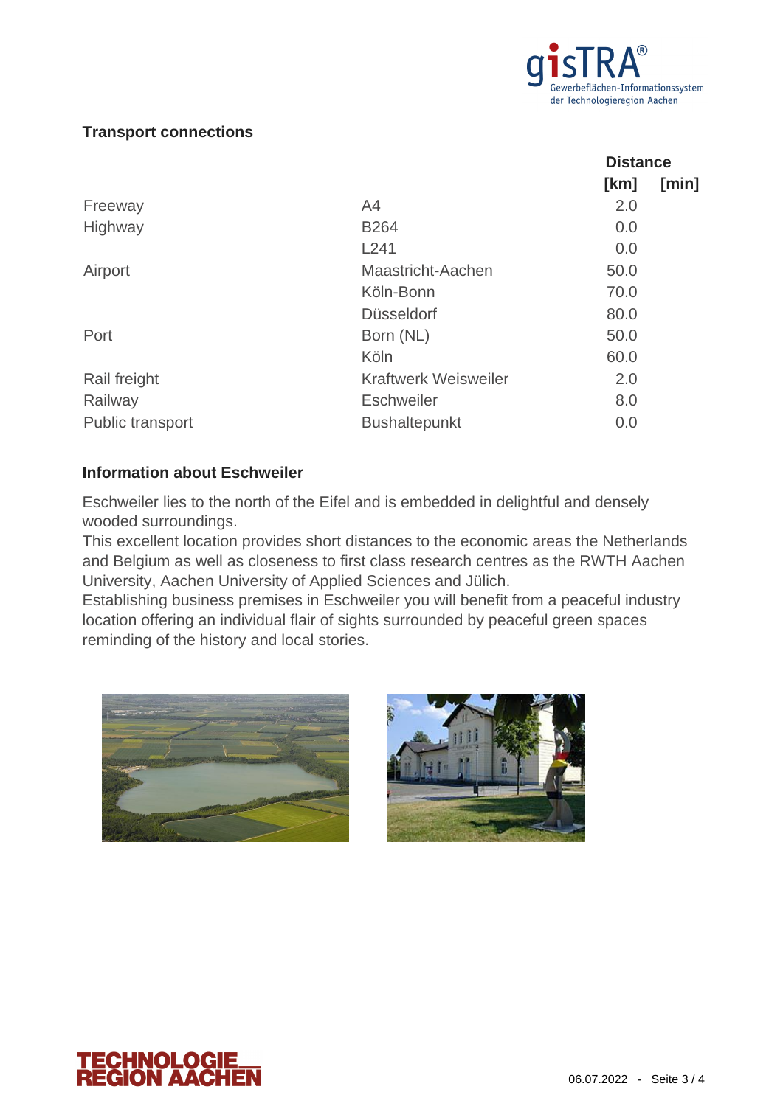

**Distance**

#### **Transport connections**

|                             | DISLAILUU |       |
|-----------------------------|-----------|-------|
|                             | [km]      | [min] |
| A <sub>4</sub>              | 2.0       |       |
| <b>B264</b>                 | 0.0       |       |
| L241                        | 0.0       |       |
| Maastricht-Aachen           | 50.0      |       |
| Köln-Bonn                   | 70.0      |       |
| <b>Düsseldorf</b>           | 80.0      |       |
| Born (NL)                   | 50.0      |       |
| Köln                        | 60.0      |       |
| <b>Kraftwerk Weisweiler</b> | 2.0       |       |
| <b>Eschweiler</b>           | 8.0       |       |
| <b>Bushaltepunkt</b>        | 0.0       |       |
|                             |           |       |

#### **Information about Eschweiler**

Eschweiler lies to the north of the Eifel and is embedded in delightful and densely wooded surroundings.

This excellent location provides short distances to the economic areas the Netherlands and Belgium as well as closeness to first class research centres as the RWTH Aachen University, Aachen University of Applied Sciences and Jülich.

Establishing business premises in Eschweiler you will benefit from a peaceful industry location offering an individual flair of sights surrounded by peaceful green spaces reminding of the history and local stories.